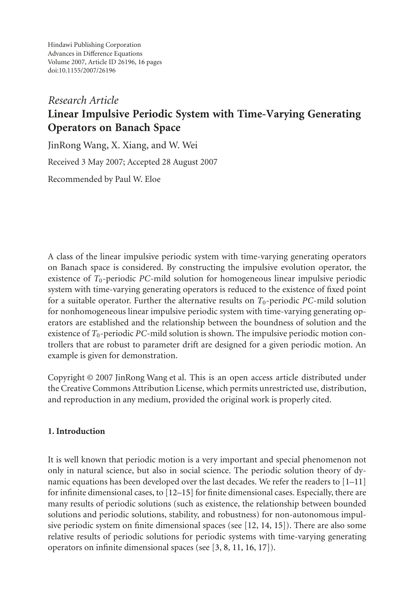Hindawi Publishing Corporation Advances in Difference Equations Volume 2007, Article ID 26196, [16](#page-14-0) pages doi:10.1155/2007/26196

# *Research Article* **Linear Impulsive Periodic System with Time-Varying Generating Operators on Banach Space**

JinRong Wang, X. Xiang, and W. Wei Received 3 May 2007; Accepted 28 August 2007 Recommended by Paul W. Eloe

A class of the linear impulsive periodic system with time-varying generating operators on Banach space is considered. By constructing the impulsive evolution operator, the existence of *T*0-periodic *PC*-mild solution for homogeneous linear impulsive periodic system with time-varying generating operators is reduced to the existence of fixed point for a suitable operator. Further the alternative results on  $T_0$ -periodic *PC*-mild solution for nonhomogeneous linear impulsive periodic system with time-varying generating operators are established and the relationship between the boundness of solution and the existence of  $T_0$ -periodic *PC*-mild solution is shown. The impulsive periodic motion controllers that are robust to parameter drift are designed for a given periodic motion. An example is given for demonstration.

Copyright © 2007 JinRong Wang et al. This is an open access article distributed under the Creative Commons Attribution License, which permits unrestricted use, distribution, and reproduction in any medium, provided the original work is properly cited.

### **1. Introduction**

It is well known that periodic motion is a very important and special phenomenon not only in natural science, but also in social science. The periodic solution theory of dynamic equations has been developed over the last decades. We refer the readers to [\[1](#page-14-1)[–11](#page-14-2)] for infinite dimensional cases, to [\[12](#page-14-3)[–15](#page-14-4)] for finite dimensional cases. Especially, there are many results of periodic solutions (such as existence, the relationship between bounded solutions and periodic solutions, stability, and robustness) for non-autonomous impulsive periodic system on finite dimensional spaces (see [\[12,](#page-14-3) [14,](#page-14-5) [15\]](#page-14-4)). There are also some relative results of periodic solutions for periodic systems with time-varying generating operators on infinite dimensional spaces (see [\[3](#page-14-6), [8,](#page-14-7) [11](#page-14-2), [16](#page-14-8), [17\]](#page-15-0)).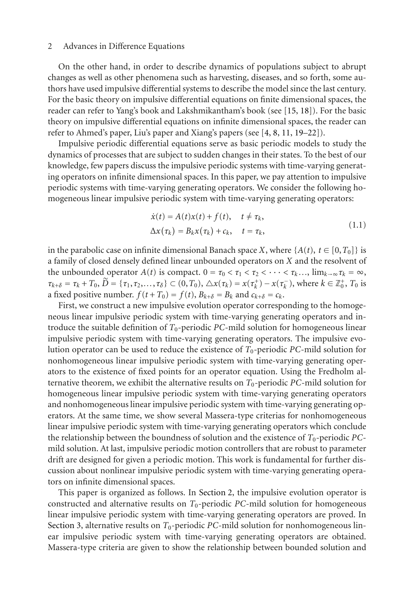On the other hand, in order to describe dynamics of populations subject to abrupt changes as well as other phenomena such as harvesting, diseases, and so forth, some authors have used impulsive differential systems to describe the model since the last century. For the basic theory on impulsive differential equations on finite dimensional spaces, the reader can refer to Yang's book and Lakshmikantham's book (see [\[15,](#page-14-4) [18](#page-15-1)]). For the basic theory on impulsive differential equations on infinite dimensional spaces, the reader can refer to Ahmed's paper, Liu's paper and Xiang's papers (see [\[4,](#page-14-9) [8,](#page-14-7) [11](#page-14-2), [19](#page-15-2)[–22\]](#page-15-3)).

Impulsive periodic differential equations serve as basic periodic models to study the dynamics of processes that are subject to sudden changes in their states. To the best of our knowledge, few papers discuss the impulsive periodic systems with time-varying generating operators on infinite dimensional spaces. In this paper, we pay attention to impulsive periodic systems with time-varying generating operators. We consider the following homogeneous linear impulsive periodic system with time-varying generating operators:

$$
\dot{x}(t) = A(t)x(t) + f(t), \quad t \neq \tau_k,
$$
  
\n
$$
\Delta x(\tau_k) = B_k x(\tau_k) + c_k, \quad t = \tau_k,
$$
\n(1.1)

in the parabolic case on infinite dimensional Banach space *X*, where  $\{A(t), t \in [0, T_0]\}$  is a family of closed densely defined linear unbounded operators on *X* and the resolvent of the unbounded operator  $A(t)$  is compact.  $0 = \tau_0 < \tau_1 < \tau_2 < \cdots < \tau_k \dots$ ,  $\lim_{k \to \infty} \tau_k = \infty$ ,  $\tau_{k+\delta} = \tau_k + T_0, \widetilde{D} = {\tau_1, \tau_2, ..., \tau_{\delta}} \subset (0, T_0), \Delta x(\tau_k) = x(\tau_k^+) - x(\tau_k^-)$ , where  $k \in \mathbb{Z}_0^+, T_0$  is a fixed positive number.  $f(t+T_0) = f(t)$ ,  $B_{k+\delta} = B_k$  and  $c_{k+\delta} = c_k$ .

First, we construct a new impulsive evolution operator corresponding to the homogeneous linear impulsive periodic system with time-varying generating operators and introduce the suitable definition of  $T_0$ -periodic *PC*-mild solution for homogeneous linear impulsive periodic system with time-varying generating operators. The impulsive evolution operator can be used to reduce the existence of  $T_0$ -periodic *PC*-mild solution for nonhomogeneous linear impulsive periodic system with time-varying generating operators to the existence of fixed points for an operator equation. Using the Fredholm alternative theorem, we exhibit the alternative results on  $T_0$ -periodic *PC*-mild solution for homogeneous linear impulsive periodic system with time-varying generating operators and nonhomogeneous linear impulsive periodic system with time-varying generating operators. At the same time, we show several Massera-type criterias for nonhomogeneous linear impulsive periodic system with time-varying generating operators which conclude the relationship between the boundness of solution and the existence of  $T_0$ -periodic *PC*mild solution. At last, impulsive periodic motion controllers that are robust to parameter drift are designed for given a periodic motion. This work is fundamental for further discussion about nonlinear impulsive periodic system with time-varying generating operators on infinite dimensional spaces.

This paper is organized as follows. In [Section 2,](#page-2-0) the impulsive evolution operator is constructed and alternative results on *T*0-periodic *PC*-mild solution for homogeneous linear impulsive periodic system with time-varying generating operators are proved. In [Section 3,](#page-5-0) alternative results on *T*0-periodic *PC*-mild solution for nonhomogeneous linear impulsive periodic system with time-varying generating operators are obtained. Massera-type criteria are given to show the relationship between bounded solution and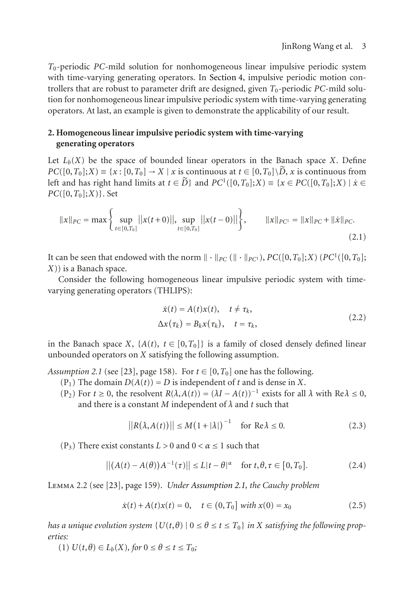*T*0-periodic *PC*-mild solution for nonhomogeneous linear impulsive periodic system with time-varying generating operators. In [Section 4,](#page-10-0) impulsive periodic motion controllers that are robust to parameter drift are designed, given  $T_0$ -periodic *PC*-mild solution for nonhomogeneous linear impulsive periodic system with time-varying generating operators. At last, an example is given to demonstrate the applicability of our result.

# <span id="page-2-0"></span>**2. Homogeneous linear impulsive periodic system with time-varying generating operators**

Let  $L_b(X)$  be the space of bounded linear operators in the Banach space X. Define  $PC([0, T_0]; X) = \{x : [0, T_0] \to X \mid x \text{ is continuous at } t \in [0, T_0] \setminus \tilde{D}, x \text{ is continuous from }$ left and has right hand limits at  $t \in \tilde{D}$ } and  $PC^1([0, T_0]; X) \equiv \{x \in PC([0, T_0]; X) \mid x \in$ *PC*([0,*T*0];*X*)}. Set

$$
||x||_{PC} = \max\left\{\sup_{t \in [0,T_0]}||x(t+0)||, \sup_{t \in [0,T_0]}||x(t-0)||\right\}, \qquad ||x||_{PC^1} = ||x||_{PC} + ||\dot{x}||_{PC}.
$$
\n(2.1)

It can be seen that endowed with the norm  $\|\cdot\|_{PC}$  ( $\|\cdot\|_{PC^1}$ ), *PC*([0,*T*<sub>0</sub>];*X*) (*PC*<sup>1</sup>([0,*T*<sub>0</sub>]; *X*)) is a Banach space.

Consider the following homogeneous linear impulsive periodic system with timevarying generating operators (THLIPS):

<span id="page-2-4"></span>
$$
\dot{x}(t) = A(t)x(t), \quad t \neq \tau_k,
$$
  
\n
$$
\Delta x(\tau_k) = B_k x(\tau_k), \quad t = \tau_k,
$$
\n(2.2)

<span id="page-2-1"></span>in the Banach space *X*,  $\{A(t), t \in [0, T_0]\}$  is a family of closed densely defined linear unbounded operators on *X* satisfying the following assumption.

*Assumption 2.1* (see [\[23\]](#page-15-4), page 158). For  $t \in [0, T_0]$  one has the following.

- (P<sub>1</sub>) The domain  $D(A(t)) = D$  is independent of *t* and is dense in *X*.
- (P<sub>2</sub>) For  $t \ge 0$ , the resolvent  $R(\lambda, A(t)) = (\lambda I A(t))^{-1}$  exists for all  $\lambda$  with  $Re \lambda \le 0$ , and there is a constant *M* independent of *λ* and *t* such that

$$
||R(\lambda, A(t))|| \le M(1 + |\lambda|)^{-1} \quad \text{for } \text{Re}\lambda \le 0. \tag{2.3}
$$

(P<sub>3</sub>) There exist constants  $L > 0$  and  $0 < \alpha \le 1$  such that

$$
\left| \left| \left( A(t) - A(\theta) \right) A^{-1}(\tau) \right| \right| \le L |t - \theta|^{\alpha} \quad \text{for } t, \theta, \tau \in [0, T_0]. \tag{2.4}
$$

<span id="page-2-3"></span>Lemma 2.2 (see [\[23](#page-15-4)], page 159). *Under [Assumption 2.1,](#page-2-1) the Cauchy problem*

<span id="page-2-2"></span>
$$
\dot{x}(t) + A(t)x(t) = 0, \quad t \in (0, T_0] \text{ with } x(0) = x_0 \tag{2.5}
$$

*has a unique evolution system*  $\{U(t, \theta) \mid 0 \le \theta \le t \le T_0\}$  *in X satisfying the following properties:*

 $(1) U(t, \theta) \in L_b(X)$ , for  $0 \le \theta \le t \le T_0$ ;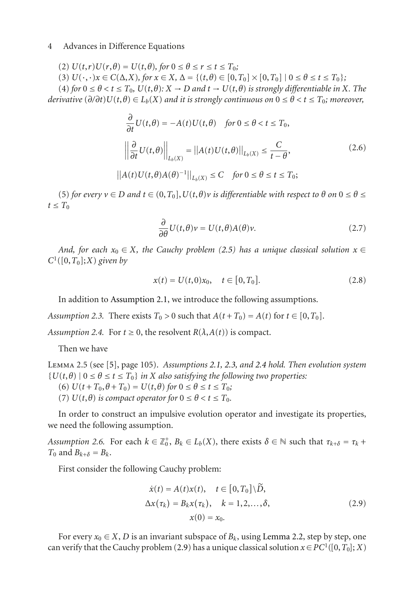(2)  $U(t, r)U(r, \theta) = U(t, \theta)$ , for  $0 \le \theta \le r \le t \le T_0$ ;

(3)  $U(\cdot, \cdot)x \in C(\Delta, X)$ , for  $x \in X$ ,  $\Delta = \{(t, \theta) \in [0, T_0] \times [0, T_0] \mid 0 \le \theta \le t \le T_0\}$ ;

(4) for  $0 \le \theta < t \le T_0$ ,  $U(t, \theta): X \to D$  and  $t \to U(t, \theta)$  is strongly differentiable in X. The *derivative*  $(\partial/\partial t)U(t,\theta) \in L_b(X)$  *and it is strongly continuous on*  $0 \le \theta < t \le T_0$ *; moreover,* 

$$
\frac{\partial}{\partial t}U(t,\theta) = -A(t)U(t,\theta) \quad \text{for } 0 \le \theta < t \le T_0,
$$
\n
$$
\left\| \frac{\partial}{\partial t}U(t,\theta) \right\|_{L_b(X)} = \left\| A(t)U(t,\theta) \right\|_{L_b(X)} \le \frac{C}{t-\theta},\tag{2.6}
$$
\n
$$
\left\| A(t)U(t,\theta)A(\theta)^{-1} \right\|_{L_b(X)} \le C \quad \text{for } 0 \le \theta \le t \le T_0;
$$

(5) *for every*  $v \in D$  *and*  $t \in (0, T_0]$ ,  $U(t, \theta)v$  *is differentiable with respect to*  $\theta$  *on*  $0 \le \theta \le$  $t \leq T_0$ 

$$
\frac{\partial}{\partial \theta} U(t, \theta) v = U(t, \theta) A(\theta) v.
$$
 (2.7)

*And, for each*  $x_0 \in X$ *, the Cauchy problem [\(2.5\)](#page-2-2) has a unique classical solution*  $x \in$  $C^1([0,T_0];X)$  *given by* 

$$
x(t) = U(t,0)x_0, \quad t \in [0,T_0].
$$
\n(2.8)

<span id="page-3-0"></span>In addition to [Assumption 2.1,](#page-2-1) we introduce the following assumptions.

<span id="page-3-1"></span>*Assumption 2.3.* There exists  $T_0 > 0$  such that  $A(t + T_0) = A(t)$  for  $t \in [0, T_0]$ .

*Assumption 2.4.* For  $t \ge 0$ , the resolvent  $R(\lambda, A(t))$  is compact.

<span id="page-3-4"></span>Then we have

Lemma 2.5 (see [\[5](#page-14-10)], page 105). *Assumptions [2.1,](#page-2-1) [2.3,](#page-3-0) and [2.4](#page-3-1) hold. Then evolution system*  ${U(t, \theta) \mid 0 \le \theta \le t \le T_0}$  *in X* also satisfying the following two properties:

(6)  $U(t+T_0, \theta+T_0) = U(t, \theta)$  *for*  $0 \le \theta \le t \le T_0$ ;

(7)  $U(t, \theta)$  *is compact operator for*  $0 \le \theta < t \le T_0$ *.* 

<span id="page-3-3"></span>In order to construct an impulsive evolution operator and investigate its properties, we need the following assumption.

*Assumption 2.6.* For each  $k \in \mathbb{Z}_0^+$ ,  $B_k \in L_b(X)$ , there exists  $\delta \in \mathbb{N}$  such that  $\tau_{k+\delta} = \tau_k + \delta$  $T_0$  and  $B_{k+\delta} = B_k$ .

First consider the following Cauchy problem:

<span id="page-3-2"></span>
$$
\dot{x}(t) = A(t)x(t), \quad t \in [0, T_0] \backslash \widetilde{D},
$$
  
\n
$$
\Delta x(\tau_k) = B_k x(\tau_k), \quad k = 1, 2, \dots, \delta,
$$
  
\n
$$
x(0) = x_0.
$$
\n(2.9)

For every  $x_0 \in X$ , *D* is an invariant subspace of  $B_k$ , using [Lemma 2.2,](#page-2-3) step by step, one can verify that the Cauchy problem [\(2.9\)](#page-3-2) has a unique classical solution  $x \in PC^1([0, T_0]; X)$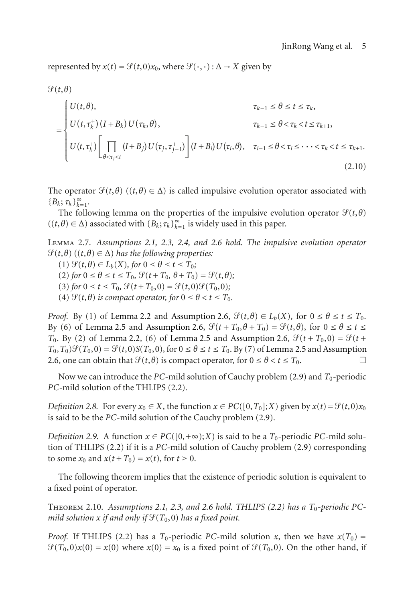represented by  $x(t) = \mathcal{G}(t,0)x_0$ , where  $\mathcal{G}(\cdot,\cdot): \Delta \to X$  given by

$$
\mathcal{G}(t, \theta)
$$
\n
$$
= \begin{cases}\nU(t, \theta), & \tau_{k-1} \leq \theta \leq t \leq \tau_k, \\
U(t, \tau_k^+) (I + B_k) U(\tau_k, \theta), & \tau_{k-1} \leq \theta < \tau_k < t \leq \tau_{k+1}, \\
U(t, \tau_k^+) \left[ \prod_{\theta < \tau_j < t} (I + B_j) U(\tau_j, \tau_{j-1}^+) \right] (I + B_i) U(\tau_i, \theta), & \tau_{i-1} \leq \theta < \tau_i \leq \dots < \tau_k < t \leq \tau_{k+1}.\n\end{cases}
$$
\n(2.10)

The operator  $\mathcal{G}(t, \theta)$  ( $(t, \theta) \in \Delta$ ) is called impulsive evolution operator associated with {*B<sub>k</sub>*; *τ<sub>k</sub>*}<sup>∞</sup><sub>*k*=1</sub>.

<span id="page-4-0"></span>The following lemma on the properties of the impulsive evolution operator  $\mathcal{S}(t, \theta)$  $((t, \theta) \in \Delta)$  associated with  ${B_k; \tau_k}_{k=1}^{\infty}$  is widely used in this paper.

Lemma 2.7. *Assumptions [2.1,](#page-2-1) [2.3,](#page-3-0) [2.4,](#page-3-1) and [2.6](#page-3-3) hold. The impulsive evolution operator*  $\mathcal{L}(t, \theta)$   $((t, \theta) \in \Delta)$  has the following properties:

 $(1)$   $\mathcal{G}(t, \theta) \in L_b(X)$ , for  $0 \le \theta \le t \le T_0$ ;

 $(2)$  *for*  $0 \le \theta \le t \le T_0$ ,  $\mathcal{G}(t + T_0, \theta + T_0) = \mathcal{G}(t, \theta)$ ;

 $(3)$  *for*  $0 \le t \le T_0$ ,  $\mathcal{G}(t + T_0, 0) = \mathcal{G}(t, 0)\mathcal{G}(T_0, 0)$ ;

(4)  $\mathcal{G}(t, \theta)$  *is compact operator, for*  $0 \le \theta < t \le T_0$ *.* 

*Proof.* By (1) of [Lemma 2.2](#page-2-3) and [Assumption 2.6,](#page-3-3)  $\mathcal{G}(t, \theta) \in L_b(X)$ , for  $0 \le \theta \le t \le T_0$ . By (6) of [Lemma 2.5](#page-3-4) and [Assumption 2.6,](#page-3-3)  $\mathcal{G}(t + T_0, \theta + T_0) = \mathcal{G}(t, \theta)$ , for  $0 \le \theta \le t \le$ *T*<sub>0</sub>. By (2) of [Lemma 2.2,](#page-2-3) (6) of [Lemma 2.5](#page-3-4) and [Assumption 2.6,](#page-3-3)  $\mathcal{G}(t + T_0, 0) = \mathcal{G}(t + T_0, 0)$  $T_0, T_0$   $\mathcal{G}(T_0, 0) = \mathcal{G}(t, 0)S(T_0, 0)$ , for  $0 \le \theta \le t \le T_0$ . By (7) of [Lemma 2.5](#page-3-4) and [Assumption](#page-3-3) [2.6,](#page-3-3) one can obtain that  $\mathcal{G}(t, \theta)$  is compact operator, for  $0 \le \theta < t \le T_0$ .

Now we can introduce the *PC*-mild solution of Cauchy problem [\(2.9\)](#page-3-2) and *T*<sub>0</sub>-periodic *PC*-mild solution of the THLIPS [\(2.2\)](#page-2-4).

*Definition 2.8.* For every  $x_0 \in X$ , the function  $x \in PC([0, T_0]; X)$  given by  $x(t) = \mathcal{F}(t, 0)x_0$ is said to be the *PC*-mild solution of the Cauchy problem [\(2.9\)](#page-3-2).

*Definition 2.9.* A function  $x \in PC([0, +\infty); X)$  is said to be a  $T_0$ -periodic *PC*-mild solution of THLIPS [\(2.2\)](#page-2-4) if it is a *PC*-mild solution of Cauchy problem [\(2.9\)](#page-3-2) corresponding to some  $x_0$  and  $x(t+T_0) = x(t)$ , for  $t \ge 0$ .

<span id="page-4-1"></span>The following theorem implies that the existence of periodic solution is equivalent to a fixed point of operator.

Theorem 2.10. *Assumptions [2.1,](#page-2-1) [2.3,](#page-3-0) and [2.6](#page-3-3) hold. THLIPS [\(2.2\)](#page-2-4) has a T*0*-periodic PC* $m$ ild solution  $x$  if and only if  $\mathcal{G}(T_0,0)$  has a fixed point.

*Proof.* If THLIPS [\(2.2\)](#page-2-4) has a *T*<sub>0</sub>-periodic *PC*-mild solution *x*, then we have  $x(T_0) =$  $\mathcal{G}(T_0,0)x(0) = x(0)$  where  $x(0) = x_0$  is a fixed point of  $\mathcal{G}(T_0,0)$ . On the other hand, if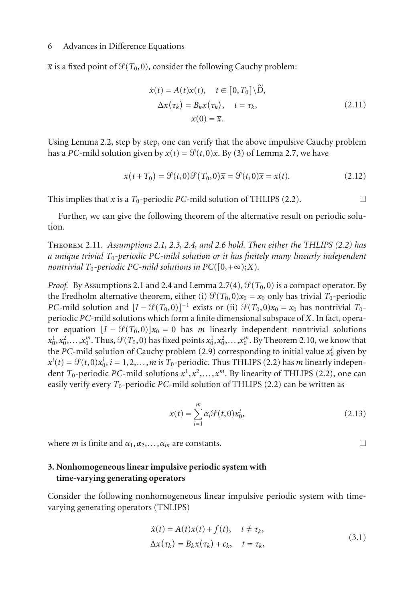$\bar{x}$  is a fixed point of  $\mathcal{G}(T_0,0)$ , consider the following Cauchy problem:

$$
\dot{x}(t) = A(t)x(t), \quad t \in [0, T_0] \setminus \widetilde{D},
$$
  
\n
$$
\Delta x(\tau_k) = B_k x(\tau_k), \quad t = \tau_k,
$$
  
\n
$$
x(0) = \overline{x}.
$$
\n(2.11)

Using [Lemma 2.2,](#page-2-3) step by step, one can verify that the above impulsive Cauchy problem has a *PC*-mild solution given by  $x(t) = \mathcal{G}(t,0)\overline{x}$ . By (3) of [Lemma 2.7,](#page-4-0) we have

$$
x(t+T_0) = \mathcal{G}(t,0)\mathcal{G}(T_0,0)\overline{x} = \mathcal{G}(t,0)\overline{x} = x(t).
$$
 (2.12)

This implies that *x* is a  $T_0$ -periodic *PC*-mild solution of THLIPS [\(2.2\)](#page-2-4).

Further, we can give the following theorem of the alternative result on periodic solution.

Theorem 2.11. *Assumptions [2.1,](#page-2-1) [2.3,](#page-3-0) [2.4,](#page-3-1) and [2.6](#page-3-3) hold. Then either the THLIPS [\(2.2\)](#page-2-4) has a unique trivial T*0*-periodic PC-mild solution or it has finitely many linearly independent nontrivial*  $T_0$ -periodic PC-mild solutions in  $PC([0,+\infty);X)$ .

*Proof.* By Assumptions [2.1](#page-2-1) and [2.4](#page-3-1) and [Lemma 2.7\(](#page-4-0)4),  $\mathcal{G}(T_0, 0)$  is a compact operator. By the Fredholm alternative theorem, either (i)  $\mathcal{G}(T_0, 0)x_0 = x_0$  only has trivial  $T_0$ -periodic *PC*-mild solution and  $[I - \mathcal{G}(T_0, 0)]^{-1}$  exists or (ii)  $\mathcal{G}(T_0, 0)x_0 = x_0$  has nontrivial  $T_0$ periodic *PC*-mild solutions which form a finite dimensional subspace of *X*. In fact, operator equation  $[I - \mathcal{G}(T_0, 0)]x_0 = 0$  has *m* linearly independent nontrivial solutions  $x_0^1, x_0^2, \ldots, x_0^m$ . Thus,  $\mathcal{G}(T_0, 0)$  has fixed points  $x_0^1, x_0^2, \ldots, x_0^m$ . By [Theorem 2.10,](#page-4-1) we know that the *PC*-mild solution of Cauchy problem [\(2.9\)](#page-3-2) corresponding to initial value *xi* <sup>0</sup> given by  $x^{i}(t) = \mathcal{G}(t,0)x_0^{i}$ ,  $i = 1,2,...,m$  is  $T_0$ -periodic. Thus THLIPS [\(2.2\)](#page-2-4) has *m* linearly independent *T*<sub>0</sub>-periodic *PC*-mild solutions  $x^1, x^2, \ldots, x^m$ . By linearity of THLIPS [\(2.2\)](#page-2-4), one can easily verify every  $T_0$ -periodic *PC*-mild solution of THLIPS [\(2.2\)](#page-2-4) can be written as

$$
x(t) = \sum_{i=1}^{m} \alpha_i \mathcal{G}(t, 0) x_0^i,
$$
 (2.13)

where *m* is finite and  $\alpha_1, \alpha_2, \ldots, \alpha_m$  are constants.  $\Box$ 

## <span id="page-5-0"></span>**3. Nonhomogeneous linear impulsive periodic system with time-varying generating operators**

Consider the following nonhomogeneous linear impulsive periodic system with timevarying generating operators (TNLIPS)

<span id="page-5-1"></span>
$$
\begin{aligned} \dot{x}(t) &= A(t)x(t) + f(t), \quad t \neq \tau_k, \\ \Delta x(\tau_k) &= B_k x(\tau_k) + c_k, \quad t = \tau_k, \end{aligned} \tag{3.1}
$$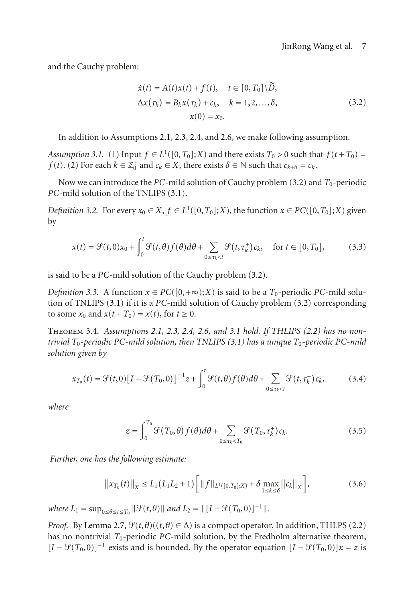and the Cauchy problem:

<span id="page-6-0"></span>
$$
\dot{x}(t) = A(t)x(t) + f(t), \quad t \in [0, T_0] \setminus \tilde{D},
$$
  
\n
$$
\Delta x(\tau_k) = B_k x(\tau_k) + c_k, \quad k = 1, 2, ..., \delta,
$$
  
\n
$$
x(0) = x_0.
$$
\n(3.2)

<span id="page-6-1"></span>In addition to Assumptions [2.1,](#page-2-1) [2.3,](#page-3-0) [2.4,](#page-3-1) and [2.6,](#page-3-3) we make following assumption.

*Assumption 3.1.* (1) Input  $f \in L^1([0, T_0]; X)$  and there exists  $T_0 > 0$  such that  $f(t + T_0) =$ *f* (*t*). (2) For each  $k \in \mathbb{Z}_0^+$  and  $c_k \in X$ , there exists  $\delta \in \mathbb{N}$  such that  $c_{k+\delta} = c_k$ .

Now we can introduce the *PC*-mild solution of Cauchy problem [\(3.2\)](#page-6-0) and  $T_0$ -periodic *PC*-mild solution of the TNLIPS [\(3.1\)](#page-5-1).

*Definition 3.2.* For every  $x_0 \in X$ ,  $f \in L^1([0, T_0]; X)$ , the function  $x \in PC([0, T_0]; X)$  given by

$$
x(t) = \mathcal{G}(t,0)x_0 + \int_0^t \mathcal{G}(t,\theta)f(\theta)d\theta + \sum_{0 \le \tau_k < t} \mathcal{G}(t,\tau_k^+)c_k, \quad \text{for } t \in [0,T_0],\tag{3.3}
$$

is said to be a *PC*-mild solution of the Cauchy problem [\(3.2\)](#page-6-0).

*Definition 3.3.* A function  $x \in PC([0, +\infty); X)$  is said to be a  $T_0$ -periodic *PC*-mild solution of TNLIPS [\(3.1\)](#page-5-1) if it is a *PC*-mild solution of Cauchy problem [\(3.2\)](#page-6-0) corresponding to some  $x_0$  and  $x(t+T_0) = x(t)$ , for  $t \ge 0$ .

Theorem 3.4. *Assumptions [2.1,](#page-2-1) [2.3,](#page-3-0) [2.4,](#page-3-1) [2.6,](#page-3-3) and [3.1](#page-6-1) hold. If THLIPS [\(2.2\)](#page-2-4) has no nontrivial T*0*-periodic PC-mild solution, then TNLIPS [\(3.1\)](#page-5-1) has a unique T*0*-periodic PC-mild solution given by*

$$
x_{T_0}(t) = \mathcal{G}(t,0)\left[I - \mathcal{G}(T_0,0)\right]^{-1}z + \int_0^t \mathcal{G}(t,\theta)f(\theta)d\theta + \sum_{0 \le \tau_k < t} \mathcal{G}(t,\tau_k^+)c_k,\tag{3.4}
$$

*where*

<span id="page-6-3"></span><span id="page-6-2"></span>
$$
z = \int_0^{T_0} \mathcal{G}(T_0, \theta) f(\theta) d\theta + \sum_{0 \le \tau_k < T_0} \mathcal{G}(T_0, \tau_k^+) c_k. \tag{3.5}
$$

*Further, one has the following estimate:*

$$
\left| \left| x_{T_0}(t) \right| \right|_X \le L_1 \left( L_1 L_2 + 1 \right) \left[ \| f \|_{L^1([0, T_0]; X)} + \delta \max_{1 \le k \le \delta} \left| \left| c_k \right| \right|_X \right],\tag{3.6}
$$

 $where L_1 = \sup_{0 \le \theta \le t \le T_0} ||\mathcal{G}(t, \theta)||$  and  $L_2 = ||[I - \mathcal{G}(T_0, 0)]^{-1}||$ .

*Proof.* By [Lemma 2.7,](#page-4-0)  $\mathcal{G}(t, \theta)$  ( $(t, \theta) \in \Delta$ ) is a compact operator. In addition, THLPS [\(2.2\)](#page-2-4) has no nontrivial  $T_0$ -periodic *PC*-mild solution, by the Fredholm alternative theorem,  $[I - \mathcal{G}(T_0, 0)]^{-1}$  exists and is bounded. By the operator equation  $[I - \mathcal{G}(T_0, 0)]\overline{x} = z$  is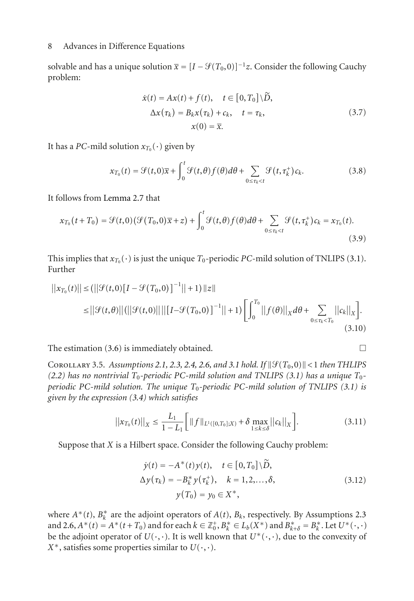solvable and has a unique solution  $\bar{x} = [I - \mathcal{G}(T_0, 0)]^{-1} z$ . Consider the following Cauchy problem:

$$
\dot{x}(t) = Ax(t) + f(t), \quad t \in [0, T_0] \backslash \tilde{D},
$$
  
\n
$$
\Delta x(\tau_k) = B_k x(\tau_k) + c_k, \quad t = \tau_k,
$$
  
\n
$$
x(0) = \overline{x}.
$$
\n(3.7)

It has a *PC*-mild solution  $x_{T_0}(\cdot)$  given by

$$
x_{T_0}(t) = \mathcal{G}(t,0)\overline{x} + \int_0^t \mathcal{G}(t,\theta)f(\theta)d\theta + \sum_{0 \le \tau_k < t} \mathcal{G}(t,\tau_k^+)c_k.
$$
 (3.8)

It follows from [Lemma 2.7](#page-4-0) that

$$
x_{T_0}(t+T_0) = \mathcal{G}(t,0)\left(\mathcal{G}(T_0,0)\overline{x}+z\right) + \int_0^t \mathcal{G}(t,\theta)f(\theta)d\theta + \sum_{0 \leq \tau_k < t} \mathcal{G}(t,\tau_k^+)c_k = x_{T_0}(t). \tag{3.9}
$$

This implies that  $x_{T_0}(\cdot)$  is just the unique  $T_0$ -periodic *PC*-mild solution of TNLIPS [\(3.1\)](#page-5-1). Further

$$
||x_{T_0}(t)|| \leq (||\mathcal{G}(t,0)[I - \mathcal{G}(T_0,0)]^{-1}|| + 1)||z||
$$
  
\n
$$
\leq ||\mathcal{G}(t,\theta)||(||\mathcal{G}(t,0)||||[I - \mathcal{G}(T_0,0)]^{-1}|| + 1)\left[\int_0^{T_0} ||f(\theta)||_X d\theta + \sum_{0 \leq \tau_k < T_0} ||c_k||_X\right].
$$
\n(3.10)

The estimation  $(3.6)$  is immediately obtained.  $\Box$ 

COROLLARY 3.5. Assumptions [2.1,](#page-2-1) [2.3,](#page-3-0) [2.4,](#page-3-1) [2.6,](#page-3-3) and [3.1](#page-6-1) hold. If  $\|\mathcal{G}(T_0,0)\|$  < 1 then THLIPS  $(2.2)$  *has no nontrivial*  $T_0$ -periodic PC-mild solution and TNLIPS  $(3.1)$  has a unique  $T_0$ *periodic PC-mild solution. The unique T*0*-periodic PC-mild solution of TNLIPS [\(3.1\)](#page-5-1) is given by the expression [\(3.4\)](#page-6-3) which satisfies*

$$
\left| \left| x_{T_0}(t) \right| \right|_X \le \frac{L_1}{1 - L_1} \Big[ \left\| f \right\|_{L^1([0, T_0]; X)} + \delta \max_{1 \le k \le \delta} \left\| c_k \right\|_X \Big]. \tag{3.11}
$$

Suppose that *X* is a Hilbert space. Consider the following Cauchy problem:

<span id="page-7-0"></span>
$$
\dot{y}(t) = -A^*(t)y(t), \quad t \in [0, T_0] \backslash \tilde{D}, \Delta y(\tau_k) = -B_k^* y(\tau_k^*), \quad k = 1, 2, ..., \delta, \n y(T_0) = y_0 \in X^*,
$$
\n(3.12)

where  $A^*(t)$ ,  $B_k^*$  are the adjoint operators of  $A(t)$ ,  $B_k$ , respectively. By Assumptions [2.3](#page-3-0) and [2.6,](#page-3-3)  $A^*(t) = A^*(t+T_0)$  and for each  $k \in \mathbb{Z}_0^+, B_k^* \in L_b(X^*)$  and  $B_{k+\delta}^* = B_k^*$ . Let  $U^*(\cdot, \cdot)$ be the adjoint operator of  $U(\cdot, \cdot)$ . It is well known that  $U^*(\cdot, \cdot)$ , due to the convexity of *X*<sup>∗</sup>, satisfies some properties similar to  $U(\cdot, \cdot)$ .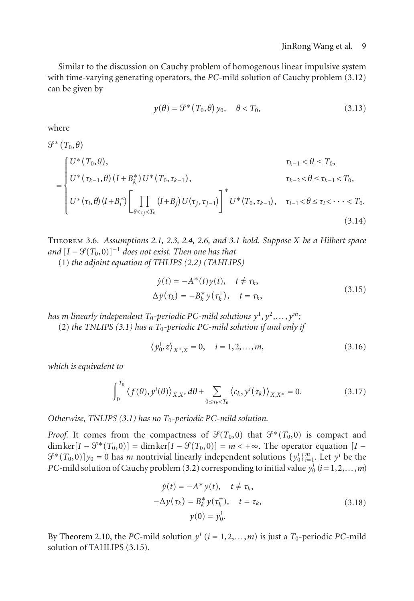Similar to the discussion on Cauchy problem of homogenous linear impulsive system with time-varying generating operators, the *PC*-mild solution of Cauchy problem [\(3.12\)](#page-7-0) can be given by

$$
y(\theta) = \mathcal{G}^*(T_0, \theta) y_0, \quad \theta < T_0,\tag{3.13}
$$

where

$$
G^*(T_0, \theta)
$$
\n
$$
= \begin{cases} U^*(T_0, \theta), & \tau_{k-1} < \theta \le T_0, \\ U^*(\tau_{k-1}, \theta) (I + B_k^*) U^*(T_0, \tau_{k-1}), & \tau_{k-2} < \theta \le \tau_{k-1} < T_0, \\ U^*(\tau_i, \theta) (I + B_i^*) \Bigg[ \prod_{\theta < \tau_j < T_0} (I + B_j) U(\tau_j, \tau_{j-1}) \Bigg]^* U^*(T_0, \tau_{k-1}), & \tau_{i-1} < \theta \le \tau_i < \cdots < T_0. \end{cases}
$$
\n(3.14)

Theorem 3.6. *Assumptions [2.1,](#page-2-1) [2.3,](#page-3-0) [2.4,](#page-3-1) [2.6,](#page-3-3) and [3.1](#page-6-1) hold. Suppose X be a Hilbert space*  $and$   $[I - \mathcal{G}(T_0, 0)]^{-1}$  *does not exist. Then one has that* 

(1) *the adjoint equation of THLIPS [\(2.2\)](#page-2-4) (TAHLIPS)*

<span id="page-8-0"></span>
$$
\dot{y}(t) = -A^*(t)y(t), \quad t \neq \tau_k,
$$
  
\n
$$
\Delta y(\tau_k) = -B_k^* y(\tau_k^*), \quad t = \tau_k,
$$
\n(3.15)

*has m linearly independent*  $T_0$ -periodic PC-mild solutions  $y^1, y^2, \ldots, y^m$ ; (2) *the TNLIPS [\(3.1\)](#page-5-1) has a T*0*-periodic PC-mild solution if and only if*

$$
\langle y_0^i, z \rangle_{X^*, X} = 0, \quad i = 1, 2, ..., m,
$$
\n(3.16)

*which is equivalent to*

$$
\int_0^{T_0} \left\langle f(\theta), y^i(\theta) \right\rangle_{X,X^*} d\theta + \sum_{0 \le \tau_k < T_0} \left\langle c_k, y^i(\tau_k) \right\rangle_{X,X^*} = 0. \tag{3.17}
$$

*Otherwise, TNLIPS [\(3.1\)](#page-5-1) has no T*0*-periodic PC-mild solution.*

*Proof.* It comes from the compactness of  $\mathcal{G}(T_0,0)$  that  $\mathcal{G}^*(T_0,0)$  is compact and dimker $[I - \mathcal{G}^*(T_0, 0)] = \dim \ker[I - \mathcal{G}(T_0, 0)] = m < +\infty$ . The operator equation  $[I \mathcal{F}^*(T_0,0)|y_0=0$  has *m* nontrivial linearly independent solutions  $\{y_0^i\}_{i=1}^m$ . Let  $y^i$  be the *PC*-mild solution of Cauchy problem [\(3.2\)](#page-6-0) corresponding to initial value  $y_0^i$  ( $i = 1, 2, ..., m$ )

$$
\dot{y}(t) = -A^* y(t), \quad t \neq \tau_k,
$$
  
\n
$$
-\Delta y(\tau_k) = B_k^* y(\tau_k^*), \quad t = \tau_k,
$$
  
\n
$$
y(0) = y_0^i.
$$
\n(3.18)

By [Theorem 2.10,](#page-4-1) the *PC*-mild solution  $y^i$  ( $i = 1, 2, \ldots, m$ ) is just a  $T_0$ -periodic *PC*-mild solution of TAHLIPS [\(3.15\)](#page-8-0).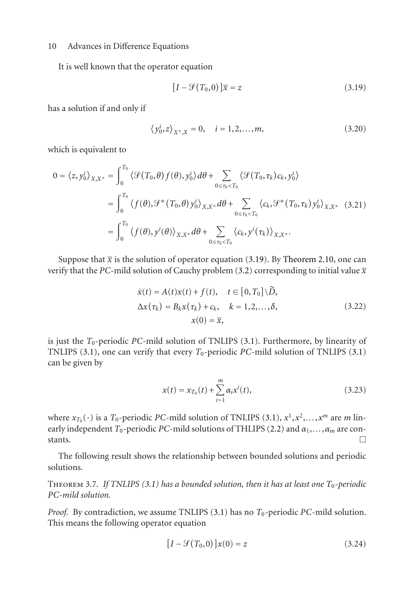It is well known that the operator equation

<span id="page-9-0"></span>
$$
[I - \mathcal{G}(T_0, 0)]\overline{x} = z \tag{3.19}
$$

has a solution if and only if

$$
\langle y_0^i, z \rangle_{X^*, X} = 0, \quad i = 1, 2, \dots, m,
$$
\n(3.20)

which is equivalent to

$$
0 = \langle z, y_0^i \rangle_{X,X^*} = \int_0^{T_0} \langle \mathcal{G}(T_0, \theta) f(\theta), y_0^i \rangle d\theta + \sum_{0 \le \tau_k < T_0} \langle \mathcal{G}(T_0, \tau_k) c_k, y_0^i \rangle
$$
  
\n
$$
= \int_0^{T_0} \langle f(\theta), \mathcal{G}^*(T_0, \theta) y_0^i \rangle_{X,X^*} d\theta + \sum_{0 \le \tau_k < T_0} \langle c_k, \mathcal{G}^*(T_0, \tau_k) y_0^i \rangle_{X,X^*} \quad (3.21)
$$
  
\n
$$
= \int_0^{T_0} \langle f(\theta), y^i(\theta) \rangle_{X,X^*} d\theta + \sum_{0 \le \tau_k < T_0} \langle c_k, y^i(\tau_k) \rangle_{X,X^*}.
$$

Suppose that  $\bar{x}$  is the solution of operator equation [\(3.19\)](#page-9-0). By [Theorem 2.10,](#page-4-1) one can verify that the *PC*-mild solution of Cauchy problem [\(3.2\)](#page-6-0) corresponding to initial value  $\bar{x}$ 

$$
\dot{x}(t) = A(t)x(t) + f(t), \quad t \in [0, T_0] \setminus \tilde{D},
$$
  
\n
$$
\Delta x(\tau_k) = B_k x(\tau_k) + c_k, \quad k = 1, 2, ..., \delta,
$$
  
\n
$$
x(0) = \overline{x},
$$
\n(3.22)

is just the *T*0-periodic *PC*-mild solution of TNLIPS [\(3.1\)](#page-5-1). Furthermore, by linearity of TNLIPS [\(3.1\)](#page-5-1), one can verify that every  $T_0$ -periodic *PC*-mild solution of TNLIPS (3.1) can be given by

$$
x(t) = x_{T_0}(t) + \sum_{i=1}^{m} \alpha_i x^{i}(t),
$$
\n(3.23)

where  $x_{T_0}(\cdot)$  is a  $T_0$ -periodic *PC*-mild solution of TNLIPS [\(3.1\)](#page-5-1),  $x^1, x^2, \ldots, x^m$  are *m* linearly independent *T*0-periodic *PC*-mild solutions of THLIPS [\(2.2\)](#page-2-4) and *α*1,*...*,*αm* are constants.  $\Box$ 

The following result shows the relationship between bounded solutions and periodic solutions.

Theorem 3.7. *If TNLIPS [\(3.1\)](#page-5-1) has a bounded solution, then it has at least one T*0*-periodic PC-mild solution.*

*Proof.* By contradiction, we assume TNLIPS [\(3.1\)](#page-5-1) has no *T*0-periodic *PC*-mild solution. This means the following operator equation

$$
[I - \mathcal{G}(T_0, 0)]x(0) = z \tag{3.24}
$$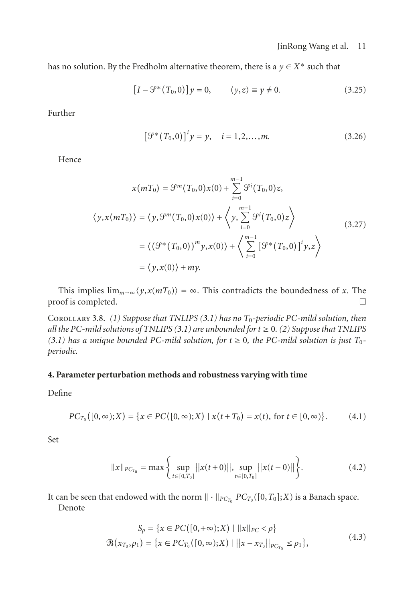has no solution. By the Fredholm alternative theorem, there is a  $y \in X^*$  such that

$$
[I - \mathcal{G}^*(T_0, 0)]y = 0, \qquad \langle y, z \rangle \equiv y \neq 0. \tag{3.25}
$$

Further

$$
[\mathcal{G}^*(T_0, 0)]^i y = y, \quad i = 1, 2, ..., m.
$$
 (3.26)

Hence

$$
x(mT_0) = \mathcal{G}^m(T_0, 0)x(0) + \sum_{i=0}^{m-1} \mathcal{G}^i(T_0, 0)z,
$$
  

$$
\langle y, x(mT_0) \rangle = \langle y, \mathcal{G}^m(T_0, 0)x(0) \rangle + \langle y, \sum_{i=0}^{m-1} \mathcal{G}^i(T_0, 0)z \rangle
$$
  

$$
= \langle (\mathcal{G}^*(T_0, 0))^m y, x(0) \rangle + \langle \sum_{i=0}^{m-1} [\mathcal{G}^*(T_0, 0)]^i y, z \rangle
$$
  

$$
= \langle y, x(0) \rangle + my.
$$
 (3.27)

This implies  $\lim_{m\to\infty} \langle y, x(mT_0) \rangle = \infty$ . This contradicts the boundedness of *x*. The oof is completed proof is completed.

Corollary 3.8. *(1) Suppose that TNLIPS [\(3.1\)](#page-5-1) has no T*0*-periodic PC-mild solution, then all the* PC-mild solutions of TNLIPS  $(3.1)$  are unbounded for  $t \ge 0$ .  $(2)$  Suppose that TNLIPS *[\(3.1\)](#page-5-1)* has a unique bounded PC-mild solution, for  $t \ge 0$ , the PC-mild solution is just  $T_0$ *periodic.*

#### <span id="page-10-0"></span>**4. Parameter perturbation methods and robustness varying with time**

Define

$$
PC_{T_0}([0, \infty); X) = \{x \in PC([0, \infty); X) \mid x(t + T_0) = x(t), \text{ for } t \in [0, \infty)\}.
$$
 (4.1)

Set

$$
||x||_{PC_{T_0}} = \max\left\{\sup_{t \in [0,T_0]}||x(t+0)||, \sup_{t \in [0,T_0]}||x(t-0)||\right\}.
$$
 (4.2)

It can be seen that endowed with the norm  $\|\cdot\|_{PC_{T_0}} PC_{T_0}([0,T_0];X)$  is a Banach space.

Denote

$$
S_{\rho} = \{x \in PC([0, +\infty); X) \mid ||x||_{PC} < \rho\}
$$
  

$$
\mathcal{B}(x_{T_0}, \rho_1) = \{x \in PC_{T_0}([0, \infty); X) \mid ||x - x_{T_0}||_{PC_{T_0}} \le \rho_1\},
$$
\n(4.3)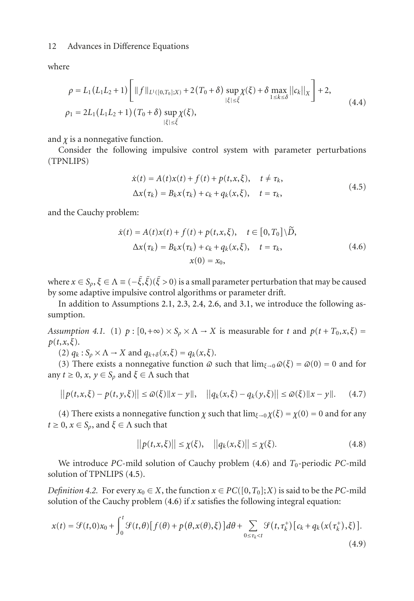where

$$
\rho = L_1(L_1L_2 + 1) \left[ \|f\|_{L^1([0,T_0];X)} + 2(T_0 + \delta) \sup_{|\xi| \le \tilde{\xi}} \chi(\xi) + \delta \max_{1 \le k \le \delta} ||c_k||_X \right] + 2,
$$
\n
$$
\rho_1 = 2L_1(L_1L_2 + 1) (T_0 + \delta) \sup_{|\xi| \le \tilde{\xi}} \chi(\xi),
$$
\n(4.4)

and  $\chi$  is a nonnegative function.

Consider the following impulsive control system with parameter perturbations (TPNLIPS)

<span id="page-11-1"></span><span id="page-11-0"></span>
$$
\dot{x}(t) = A(t)x(t) + f(t) + p(t, x, \xi), \quad t \neq \tau_k,
$$
  
\n
$$
\Delta x(\tau_k) = B_k x(\tau_k) + c_k + q_k(x, \xi), \quad t = \tau_k,
$$
\n(4.5)

and the Cauchy problem:

$$
\dot{x}(t) = A(t)x(t) + f(t) + p(t, x, \xi), \quad t \in [0, T_0] \backslash \tilde{D},
$$
  
\n
$$
\Delta x(\tau_k) = B_k x(\tau_k) + c_k + q_k(x, \xi), \quad t = \tau_k,
$$
  
\n
$$
x(0) = x_0,
$$
\n(4.6)

where  $x \in S_\rho, \xi \in \Lambda \equiv (-\tilde{\xi}, \tilde{\xi})(\tilde{\xi} > 0)$  is a small parameter perturbation that may be caused by some adaptive impulsive control algorithms or parameter drift.

<span id="page-11-2"></span>In addition to Assumptions [2.1,](#page-2-1) [2.3,](#page-3-0) [2.4,](#page-3-1) [2.6,](#page-3-3) and [3.1,](#page-6-1) we introduce the following assumption.

*Assumption 4.1.* (1)  $p : [0, +\infty) \times S_0 \times \Lambda \to X$  is measurable for *t* and  $p(t + T_0, x, \xi) =$ *p*(*t*,*x*,*ξ*).

(2)  $q_k$ :  $S_\rho \times \Lambda \to X$  and  $q_{k+\delta}(x,\xi) = q_k(x,\xi)$ .

(3) There exists a nonnegative function  $\omega$  such that  $\lim_{\xi \to 0} \omega(\xi) = \omega(0) = 0$  and for any  $t \ge 0$ ,  $x, y \in S_\rho$  and  $\xi \in \Lambda$  such that

$$
||p(t, x, \xi) - p(t, y, \xi)|| \le \omega(\xi) ||x - y||, \quad ||q_k(x, \xi) - q_k(y, \xi)|| \le \omega(\xi) ||x - y||. \tag{4.7}
$$

(4) There exists a nonnegative function *χ* such that  $\lim_{\xi \to 0} \chi(\xi) = \chi(0) = 0$  and for any  $t \geq 0$ ,  $x \in S_\rho$ , and  $\xi \in \Lambda$  such that

$$
||p(t, x, \xi)|| \leq \chi(\xi), \quad ||q_k(x, \xi)|| \leq \chi(\xi). \tag{4.8}
$$

We introduce *PC*-mild solution of Cauchy problem  $(4.6)$  and  $T_0$ -periodic *PC*-mild solution of TPNLIPS [\(4.5\)](#page-11-1).

*Definition 4.2.* For every  $x_0 \in X$ , the function  $x \in PC([0, T_0]; X)$  is said to be the *PC*-mild solution of the Cauchy problem  $(4.6)$  if *x* satisfies the following integral equation:

$$
x(t) = \mathcal{G}(t,0)x_0 + \int_0^t \mathcal{G}(t,\theta) [f(\theta) + p(\theta,x(\theta),\xi)] d\theta + \sum_{0 \le \tau_k < t} \mathcal{G}(t,\tau_k^+) [c_k + q_k(x(\tau_k^+),\xi)]. \tag{4.9}
$$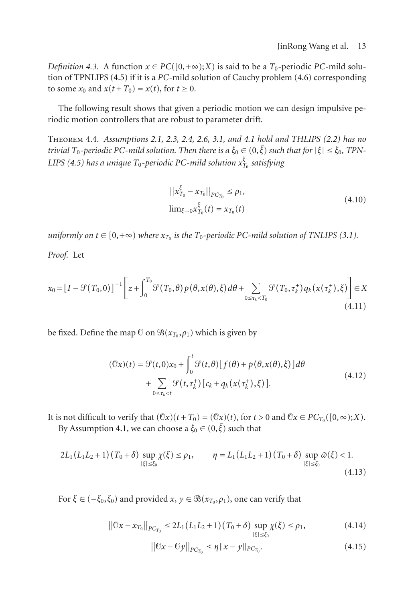*Definition 4.3.* A function  $x \in PC([0, +\infty); X)$  is said to be a  $T_0$ -periodic *PC*-mild solution of TPNLIPS [\(4.5\)](#page-11-1) if it is a *PC*-mild solution of Cauchy problem [\(4.6\)](#page-11-0) corresponding to some  $x_0$  and  $x(t+T_0) = x(t)$ , for  $t \ge 0$ .

<span id="page-12-0"></span>The following result shows that given a periodic motion we can design impulsive periodic motion controllers that are robust to parameter drift.

Theorem 4.4. *Assumptions [2.1,](#page-2-1) [2.3,](#page-3-0) [2.4,](#page-3-1) [2.6,](#page-3-3) [3.1,](#page-6-1) and [4.1](#page-11-2) hold and THLIPS [\(2.2\)](#page-2-4) has no trivial T*<sub>0</sub>-periodic PC-mild solution. Then there is a  $\xi_0 \in (0,\tilde{\xi})$  such that for  $|\xi| \leq \xi_0$ , TPN- $LIPS \ (4.5)$  $LIPS \ (4.5)$  has a unique  $T_0$ -periodic PC-mild solution  $x_{T_0}^\xi$  satisfying

$$
||x_{T_0}^{\xi} - x_{T_0}||_{PC_{T_0}} \le \rho_1,
$$
  
\n
$$
\lim_{\xi \to 0} x_{T_0}^{\xi}(t) = x_{T_0}(t)
$$
\n(4.10)

*uniformly on*  $t \in [0, +\infty)$  *where*  $x_{T_0}$  *is the*  $T_0$ *-periodic PC-mild solution of TNLIPS* [\(3.1\)](#page-5-1)*.* 

*Proof.* Let

$$
x_0 = \left[I - \mathcal{G}(T_0, 0)\right]^{-1} \left[z + \int_0^{T_0} \mathcal{G}(T_0, \theta) p(\theta, x(\theta), \xi) d\theta + \sum_{0 \le \tau_k < T_0} \mathcal{G}(T_0, \tau_k^+) q_k(x(\tau_k^+), \xi)\right] \in X\tag{4.11}
$$

be fixed. Define the map  $\mathcal O$  on  $\mathcal B(x_{T_0}, \rho_1)$  which is given by

$$
(\mathbb{O}x)(t) = \mathcal{G}(t,0)x_0 + \int_0^t \mathcal{G}(t,\theta)[f(\theta) + p(\theta,x(\theta),\xi)]d\theta
$$
  
+ 
$$
\sum_{0 \le \tau_k < t} \mathcal{G}(t,\tau_k^+)[c_k + q_k(x(\tau_k^+),\xi)].
$$
 (4.12)

It is not difficult to verify that  $(\mathbb{C}x)(t + T_0) = (\mathbb{C}x)(t)$ , for  $t > 0$  and  $\mathbb{C}x \in PC_{T_0}([0, \infty); X)$ .

By [Assumption 4.1,](#page-11-2) we can choose a  $\xi_0 \in (0, \tilde{\xi})$  such that

$$
2L_1(L_1L_2+1)(T_0+\delta) \sup_{|\xi| \le \xi_0} \chi(\xi) \le \rho_1, \qquad \eta = L_1(L_1L_2+1)(T_0+\delta) \sup_{|\xi| \le \xi_0} \omega(\xi) < 1.
$$
\n(4.13)

For  $\xi \in (-\xi_0, \xi_0)$  and provided  $x, y \in \mathcal{B}(x_{T_0}, \rho_1)$ , one can verify that

$$
||0x - x_{T_0}||_{PC_{T_0}} \le 2L_1(L_1L_2 + 1)(T_0 + \delta) \sup_{|\xi| \le \xi_0} \chi(\xi) \le \rho_1,
$$
 (4.14)

$$
||0x - 0y||_{PC_{T_0}} \le \eta ||x - y||_{PC_{T_0}}.
$$
\n(4.15)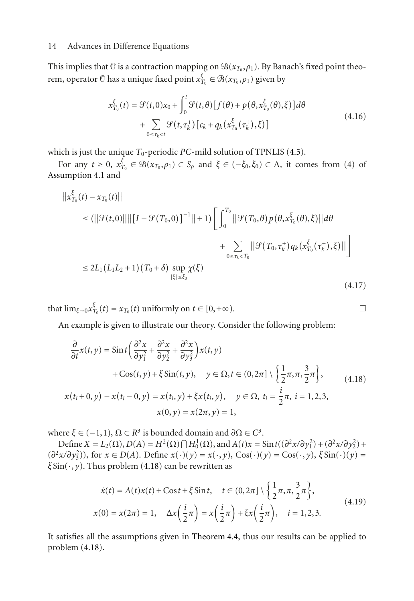This implies that  $\theta$  is a contraction mapping on  $\Re(x_{T_0}, \rho_1)$ . By Banach's fixed point theorem, operator  $\odot$  has a unique fixed point  $x_{T_0}^{\xi} \in \mathcal{B}(x_{T_0}, \rho_1)$  given by

$$
x_{T_0}^{\xi}(t) = \mathcal{G}(t,0)x_0 + \int_0^t \mathcal{G}(t,\theta)[f(\theta) + p(\theta, x_{T_0}^{\xi}(\theta),\xi)]d\theta
$$
  
+ 
$$
\sum_{0 \le \tau_k < t} \mathcal{G}(t,\tau_k^+) [c_k + q_k(x_{T_0}^{\xi}(\tau_k^+),\xi)]
$$
(4.16)

which is just the unique  $T_0$ -periodic  $PC$ -mild solution of TPNLIS [\(4.5\)](#page-11-1).

For any  $t \ge 0$ ,  $x_{T_0}^{\bar{\xi}} \in \mathcal{B}(x_{T_0}, \rho_1) \subset S_\rho$  and  $\xi \in (-\xi_0, \xi_0) \subset \Lambda$ , it comes from (4) of [Assumption 4.1](#page-11-2) and

$$
||x_{T_0}^{\xi}(t) - x_{T_0}(t)||
$$
\n
$$
\leq (||\mathcal{G}(t,0)||||[I - \mathcal{G}(T_0,0)]^{-1}|| + 1) \left[ \int_0^{T_0} ||\mathcal{G}(T_0, \theta) p(\theta, x_{T_0}^{\xi}(\theta), \xi)||d\theta \right] \n+ \sum_{0 \leq \tau_k < T_0} ||\mathcal{G}(T_0, \tau_k^+) q_k(x_{T_0}^{\xi}(\tau_k^+), \xi)|| \right] \n\leq 2L_1(L_1L_2 + 1) (T_0 + \delta) \sup_{|\xi| \leq \xi_0} \chi(\xi)
$$
\n(4.17)

that  $\lim_{\xi \to 0} x_{T_0}^{\xi}(t) = x_{T_0}(t)$  uniformly on  $t \in [0, +\infty)$ .

An example is given to illustrate our theory. Consider the following problem:

$$
\frac{\partial}{\partial t}x(t, y) = \operatorname{Sin} t \left( \frac{\partial^2 x}{\partial y_1^2} + \frac{\partial^2 x}{\partial y_2^2} + \frac{\partial^2 x}{\partial y_3^2} \right) x(t, y) \n+ \operatorname{Cos}(t, y) + \xi \operatorname{Sin}(t, y), \quad y \in \Omega, t \in (0, 2\pi] \setminus \left\{ \frac{1}{2}\pi, \pi, \frac{3}{2}\pi \right\},
$$
\n
$$
x(t_i + 0, y) - x(t_i - 0, y) = x(t_i, y) + \xi x(t_i, y), \quad y \in \Omega, t_i = \frac{i}{2}\pi, i = 1, 2, 3,
$$
\n
$$
x(0, y) = x(2\pi, y) = 1,
$$
\n(4.18)

where  $\xi \in (-1,1)$ ,  $\Omega \subset \mathbb{R}^3$  is bounded domain and  $\partial \Omega \in \mathbb{C}^3$ .

Define  $X = L_2(\Omega)$ ,  $D(A) = H^2(\Omega) \cap H_0^1(\Omega)$ , and  $A(t)x = \sin t((\partial^2 x/\partial y_1^2) + (\partial^2 x/\partial y_2^2) +$ (*∂*2*x/∂y*<sup>2</sup> 3)), for *<sup>x</sup>* <sup>∈</sup> *<sup>D</sup>*(*A*). Define *<sup>x</sup>*(·)(*y*) <sup>=</sup> *<sup>x</sup>*(·, *<sup>y</sup>*), Cos(·)(*y*) <sup>=</sup> Cos(·, *<sup>y</sup>*), *<sup>ξ</sup>* Sin(·)(*y*) <sup>=</sup> *<sup>ξ</sup>* Sin(·, *<sup>y</sup>*). Thus problem [\(4.18\)](#page-13-0) can be rewritten as

$$
\dot{x}(t) = A(t)x(t) + \text{Cost} + \xi \sin t, \quad t \in (0, 2\pi] \setminus \left\{ \frac{1}{2}\pi, \pi, \frac{3}{2}\pi \right\}, x(0) = x(2\pi) = 1, \quad \Delta x \left( \frac{i}{2}\pi \right) = x \left( \frac{i}{2}\pi \right) + \xi x \left( \frac{i}{2}\pi \right), \quad i = 1, 2, 3.
$$
\n(4.19)

It satisfies all the assumptions given in [Theorem 4.4,](#page-12-0) thus our results can be applied to problem [\(4.18\)](#page-13-0).

<span id="page-13-0"></span>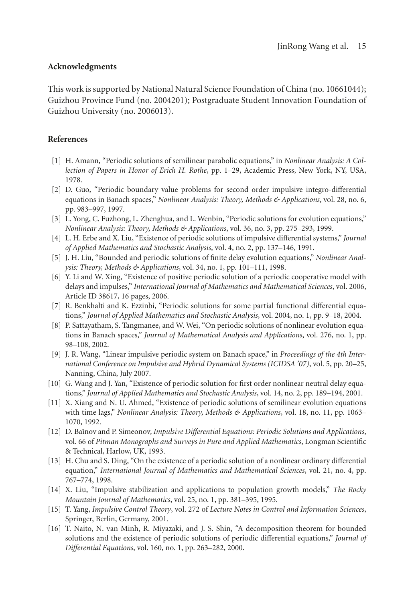### **Acknowledgments**

This work is supported by National Natural Science Foundation of China (no. 10661044); Guizhou Province Fund (no. 2004201); Postgraduate Student Innovation Foundation of Guizhou University (no. 2006013).

## <span id="page-14-0"></span>**References**

- <span id="page-14-1"></span>[1] H. Amann, "Periodic solutions of semilinear parabolic equations," in *Nonlinear Analysis: A Collection of Papers in Honor of Erich H. Rothe*, pp. 1–29, Academic Press, New York, NY, USA, 1978.
- [2] D. Guo, "Periodic boundary value problems for second order impulsive integro-differential equations in Banach spaces," *Nonlinear Analysis: Theory, Methods & Applications*, vol. 28, no. 6, pp. 983–997, 1997.
- <span id="page-14-6"></span>[3] L. Yong, C. Fuzhong, L. Zhenghua, and L. Wenbin, "Periodic solutions for evolution equations," *Nonlinear Analysis: Theory, Methods & Applications*, vol. 36, no. 3, pp. 275–293, 1999.
- <span id="page-14-9"></span>[4] L. H. Erbe and X. Liu, "Existence of periodic solutions of impulsive differential systems," *Journal of Applied Mathematics and Stochastic Analysis*, vol. 4, no. 2, pp. 137–146, 1991.
- <span id="page-14-10"></span>[5] J. H. Liu, "Bounded and periodic solutions of finite delay evolution equations," *Nonlinear Analysis: Theory, Methods & Applications*, vol. 34, no. 1, pp. 101–111, 1998.
- [6] Y. Li and W. Xing, "Existence of positive periodic solution of a periodic cooperative model with delays and impulses," *International Journal of Mathematics and Mathematical Sciences*, vol. 2006, Article ID 38617, 16 pages, 2006.
- [7] R. Benkhalti and K. Ezzinbi, "Periodic solutions for some partial functional differential equations," *Journal of Applied Mathematics and Stochastic Analysis*, vol. 2004, no. 1, pp. 9–18, 2004.
- <span id="page-14-7"></span>[8] P. Sattayatham, S. Tangmanee, and W. Wei, "On periodic solutions of nonlinear evolution equations in Banach spaces," *Journal of Mathematical Analysis and Applications*, vol. 276, no. 1, pp. 98–108, 2002.
- [9] J. R. Wang, "Linear impulsive periodic system on Banach space," in *Proceedings of the 4th International Conference on Impulsive and Hybrid Dynamical Systems (ICIDSA '07)*, vol. 5, pp. 20–25, Nanning, China, July 2007.
- [10] G. Wang and J. Yan, "Existence of periodic solution for first order nonlinear neutral delay equations," *Journal of Applied Mathematics and Stochastic Analysis*, vol. 14, no. 2, pp. 189–194, 2001.
- <span id="page-14-2"></span>[11] X. Xiang and N. U. Ahmed, "Existence of periodic solutions of semilinear evolution equations with time lags," *Nonlinear Analysis: Theory, Methods & Applications*, vol. 18, no. 11, pp. 1063– 1070, 1992.
- <span id="page-14-3"></span>[12] D. Ba˘ınov and P. Simeonov, *Impulsive Differential Equations: Periodic Solutions and Applications*, vol. 66 of *Pitman Monographs and Surveys in Pure and Applied Mathematics*, Longman Scientific & Technical, Harlow, UK, 1993.
- [13] H. Chu and S. Ding, "On the existence of a periodic solution of a nonlinear ordinary differential equation," *International Journal of Mathematics and Mathematical Sciences*, vol. 21, no. 4, pp. 767–774, 1998.
- <span id="page-14-5"></span>[14] X. Liu, "Impulsive stabilization and applications to population growth models," *The Rocky Mountain Journal of Mathematics*, vol. 25, no. 1, pp. 381–395, 1995.
- <span id="page-14-4"></span>[15] T. Yang, *Impulsive Control Theory*, vol. 272 of *Lecture Notes in Control and Information Sciences*, Springer, Berlin, Germany, 2001.
- <span id="page-14-8"></span>[16] T. Naito, N. van Minh, R. Miyazaki, and J. S. Shin, "A decomposition theorem for bounded solutions and the existence of periodic solutions of periodic differential equations," *Journal of Differential Equations*, vol. 160, no. 1, pp. 263–282, 2000.